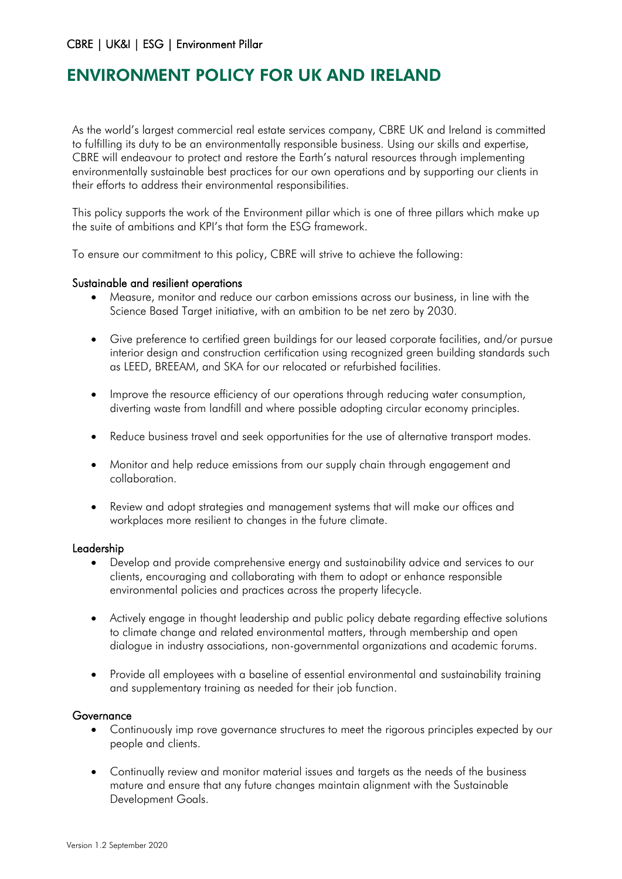# CBRE | UK&I | ESG | Environment Pillar

# ENVIRONMENT POLICY FOR UK AND IRELAND

As the world's largest commercial real estate services company, CBRE UK and Ireland is committed to fulfilling its duty to be an environmentally responsible business. Using our skills and expertise, CBRE will endeavour to protect and restore the Earth's natural resources through implementing environmentally sustainable best practices for our own operations and by supporting our clients in their efforts to address their environmental responsibilities.

This policy supports the work of the Environment pillar which is one of three pillars which make up the suite of ambitions and KPI's that form the ESG framework.

To ensure our commitment to this policy, CBRE will strive to achieve the following:

## Sustainable and resilient operations

- Measure, monitor and reduce our carbon emissions across our business, in line with the Science Based Target initiative, with an ambition to be net zero by 2030.
- Give preference to certified green buildings for our leased corporate facilities, and/or pursue interior design and construction certification using recognized green building standards such as LEED, BREEAM, and SKA for our relocated or refurbished facilities.
- Improve the resource efficiency of our operations through reducing water consumption, diverting waste from landfill and where possible adopting circular economy principles.
- Reduce business travel and seek opportunities for the use of alternative transport modes.
- Monitor and help reduce emissions from our supply chain through engagement and collaboration.
- Review and adopt strategies and management systems that will make our offices and workplaces more resilient to changes in the future climate.

### Leadership

- Develop and provide comprehensive energy and sustainability advice and services to our clients, encouraging and collaborating with them to adopt or enhance responsible environmental policies and practices across the property lifecycle.
- Actively engage in thought leadership and public policy debate regarding effective solutions to climate change and related environmental matters, through membership and open dialogue in industry associations, non-governmental organizations and academic forums.
- Provide all employees with a baseline of essential environmental and sustainability training and supplementary training as needed for their job function.

### Governance

- Continuously imp rove governance structures to meet the rigorous principles expected by our people and clients.
- Continually review and monitor material issues and targets as the needs of the business mature and ensure that any future changes maintain alignment with the Sustainable Development Goals.